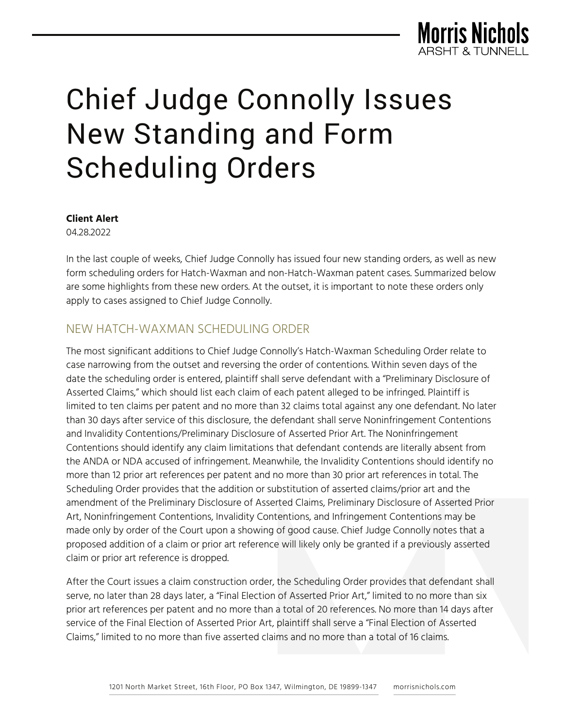

# Chief Judge Connolly Issues New Standing and Form Scheduling Orders

**Client Alert**

04.28.2022

In the last couple of weeks, Chief Judge Connolly has issued four new standing orders, as well as new form scheduling orders for Hatch-Waxman and non-Hatch-Waxman patent cases. Summarized below are some highlights from these new orders. At the outset, it is important to note these orders only apply to cases assigned to Chief Judge Connolly.

## NEW HATCH-WAXMAN SCHEDULING ORDER

The most significant additions to Chief Judge Connolly's Hatch-Waxman Scheduling Order relate to case narrowing from the outset and reversing the order of contentions. Within seven days of the date the scheduling order is entered, plaintiff shall serve defendant with a "Preliminary Disclosure of Asserted Claims," which should list each claim of each patent alleged to be infringed. Plaintiff is limited to ten claims per patent and no more than 32 claims total against any one defendant. No later than 30 days after service of this disclosure, the defendant shall serve Noninfringement Contentions and Invalidity Contentions/Preliminary Disclosure of Asserted Prior Art. The Noninfringement Contentions should identify any claim limitations that defendant contends are literally absent from the ANDA or NDA accused of infringement. Meanwhile, the Invalidity Contentions should identify no more than 12 prior art references per patent and no more than 30 prior art references in total. The Scheduling Order provides that the addition or substitution of asserted claims/prior art and the amendment of the Preliminary Disclosure of Asserted Claims, Preliminary Disclosure of Asserted Prior Art, Noninfringement Contentions, Invalidity Contentions, and Infringement Contentions may be made only by order of the Court upon a showing of good cause. Chief Judge Connolly notes that a proposed addition of a claim or prior art reference will likely only be granted if a previously asserted claim or prior art reference is dropped.

After the Court issues a claim construction order, the Scheduling Order provides that defendant shall serve, no later than 28 days later, a "Final Election of Asserted Prior Art," limited to no more than six prior art references per patent and no more than a total of 20 references. No more than 14 days after service of the Final Election of Asserted Prior Art, plaintiff shall serve a "Final Election of Asserted Claims," limited to no more than five asserted claims and no more than a total of 16 claims.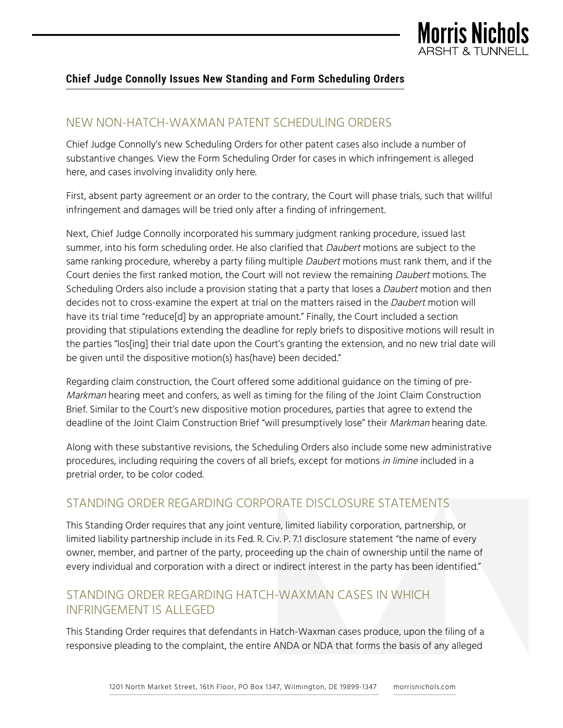

#### **Chief Judge Connolly Issues New Standing and Form Scheduling Orders**

## NEW NON-HATCH-WAXMAN PATENT SCHEDULING ORDERS

Chief Judge Connolly's new Scheduling Orders for other patent cases also include a number of substantive changes. View the Form Scheduling Order for cases in which infringement is alleged here, and cases involving invalidity only here.

First, absent party agreement or an order to the contrary, the Court will phase trials, such that willful infringement and damages will be tried only after a finding of infringement.

Next, Chief Judge Connolly incorporated his summary judgment ranking procedure, issued last summer, into his form scheduling order. He also clarified that Daubert motions are subject to the same ranking procedure, whereby a party filing multiple *Daubert* motions must rank them, and if the Court denies the first ranked motion, the Court will not review the remaining Daubert motions. The Scheduling Orders also include a provision stating that a party that loses a *Daubert* motion and then decides not to cross-examine the expert at trial on the matters raised in the Daubert motion will have its trial time "reduce<sup>[d]</sup> by an appropriate amount." Finally, the Court included a section providing that stipulations extending the deadline for reply briefs to dispositive motions will result in the parties "los[ing] their trial date upon the Court's granting the extension, and no new trial date will be given until the dispositive motion(s) has(have) been decided."

Regarding claim construction, the Court offered some additional guidance on the timing of pre-Markman hearing meet and confers, as well as timing for the filing of the Joint Claim Construction Brief. Similar to the Court's new dispositive motion procedures, parties that agree to extend the deadline of the Joint Claim Construction Brief "will presumptively lose" their Markman hearing date.

Along with these substantive revisions, the Scheduling Orders also include some new administrative procedures, including requiring the covers of all briefs, except for motions in limine included in a pretrial order, to be color coded.

## STANDING ORDER REGARDING CORPORATE DISCLOSURE STATEMENTS

This Standing Order requires that any joint venture, limited liability corporation, partnership, or limited liability partnership include in its Fed. R. Civ. P. 7.1 disclosure statement "the name of every owner, member, and partner of the party, proceeding up the chain of ownership until the name of every individual and corporation with a direct or indirect interest in the party has been identified."

## STANDING ORDER REGARDING HATCH-WAXMAN CASES IN WHICH INFRINGEMENT IS ALLEGED

This Standing Order requires that defendants in Hatch-Waxman cases produce, upon the filing of a responsive pleading to the complaint, the entire ANDA or NDA that forms the basis of any alleged